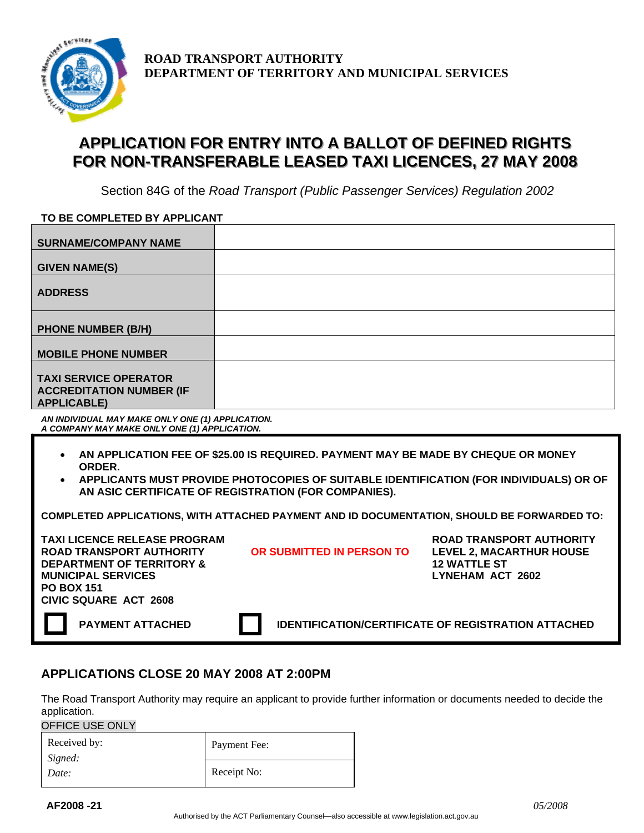

**ROAD TRANSPORT AUTHORITY DEPARTMENT OF TERRITORY AND MUNICIPAL SERVICES**

## APPLICATION FOR ENTRY INTO A BALLOT OF DEFINED RIGHTS FOR NON-TRANSFERABLE LEASED TAXI LICENCES, 27 MAY 2008

Section 84G of the *Road Transport (Public Passenger Services) Regulation 2002* 

| TO BE COMPLETED BY APPLICANT                                                          |  |  |
|---------------------------------------------------------------------------------------|--|--|
| <b>SURNAME/COMPANY NAME</b>                                                           |  |  |
| <b>GIVEN NAME(S)</b>                                                                  |  |  |
| <b>ADDRESS</b>                                                                        |  |  |
| <b>PHONE NUMBER (B/H)</b>                                                             |  |  |
| <b>MOBILE PHONE NUMBER</b>                                                            |  |  |
| <b>TAXI SERVICE OPERATOR</b><br><b>ACCREDITATION NUMBER (IF</b><br><b>APPLICABLE)</b> |  |  |

*AN INDIVIDUAL MAY MAKE ONLY ONE (1) APPLICATION. A COMPANY MAY MAKE ONLY ONE (1) APPLICATION.* 

- **AN APPLICATION FEE OF \$25.00 IS REQUIRED. PAYMENT MAY BE MADE BY CHEQUE OR MONEY ORDER.**
- **APPLICANTS MUST PROVIDE PHOTOCOPIES OF SUITABLE IDENTIFICATION (FOR INDIVIDUALS) OR OF AN ASIC CERTIFICATE OF REGISTRATION (FOR COMPANIES).**

|  | COMPLETED APPLICATIONS. WITH ATTACHED PAYMENT AND ID DOCUMENTATION. SHOULD BE FORWARDED TO: |
|--|---------------------------------------------------------------------------------------------|
|  |                                                                                             |

**TAXI LICENCE RELEASE PROGRAM ROAD TRANSPORT AUTHORITY OR SUBMITTED IN PERSON TO DEPARTMENT OF TERRITORY & MUNICIPAL SERVICES PO BOX 151 CIVIC SQUARE ACT 2608** 

**ROAD TRANSPORT AUTHORITY LEVEL 2, MACARTHUR HOUSE 12 WATTLE ST LYNEHAM ACT 2602** 

**PAYMENT ATTACHED IDENTIFICATION/CERTIFICATE OF REGISTRATION ATTACHED** 

## **APPLICATIONS CLOSE 20 MAY 2008 AT 2:00PM**

The Road Transport Authority may require an applicant to provide further information or documents needed to decide the application.

OFFICE USE ONLY

| Received by:<br>Signed: | Payment Fee: |
|-------------------------|--------------|
| Date:                   | Receipt No:  |